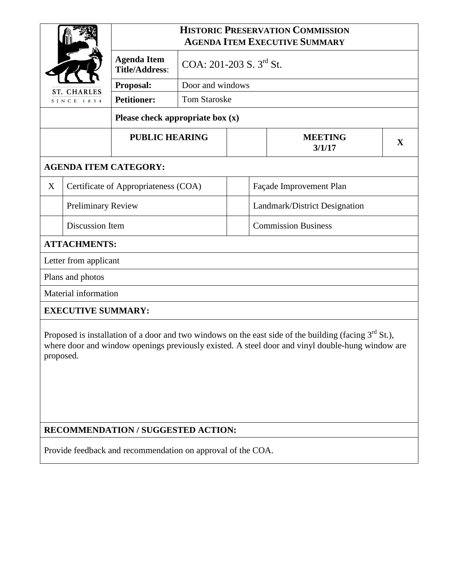| <b>ST. CHARLES</b>           |                                      | <b>HISTORIC PRESERVATION COMMISSION</b><br><b>AGENDA ITEM EXECUTIVE SUMMARY</b> |                                |  |                               |  |              |  |
|------------------------------|--------------------------------------|---------------------------------------------------------------------------------|--------------------------------|--|-------------------------------|--|--------------|--|
|                              |                                      | <b>Agenda Item</b><br><b>Title/Address:</b>                                     | COA: $201-203$ S. $3^{rd}$ St. |  |                               |  |              |  |
|                              |                                      | Proposal:                                                                       | Door and windows               |  |                               |  |              |  |
| SINCE 1834                   |                                      | <b>Petitioner:</b>                                                              | <b>Tom Staroske</b>            |  |                               |  |              |  |
|                              |                                      | Please check appropriate box (x)                                                |                                |  |                               |  |              |  |
|                              |                                      | <b>PUBLIC HEARING</b>                                                           |                                |  | <b>MEETING</b><br>3/1/17      |  | $\mathbf{X}$ |  |
| <b>AGENDA ITEM CATEGORY:</b> |                                      |                                                                                 |                                |  |                               |  |              |  |
| X                            | Certificate of Appropriateness (COA) |                                                                                 |                                |  | Façade Improvement Plan       |  |              |  |
|                              | <b>Preliminary Review</b>            |                                                                                 |                                |  | Landmark/District Designation |  |              |  |
|                              | Discussion Item                      |                                                                                 |                                |  | <b>Commission Business</b>    |  |              |  |
| <b>ATTACHMENTS:</b>          |                                      |                                                                                 |                                |  |                               |  |              |  |
| Letter from applicant        |                                      |                                                                                 |                                |  |                               |  |              |  |
| Plans and photos             |                                      |                                                                                 |                                |  |                               |  |              |  |
| Material information         |                                      |                                                                                 |                                |  |                               |  |              |  |
| <b>EXECUTIVE SUMMARY:</b>    |                                      |                                                                                 |                                |  |                               |  |              |  |

Proposed is installation of a door and two windows on the east side of the building (facing  $3<sup>rd</sup>$  St.), where door and window openings previously existed. A steel door and vinyl double-hung window are proposed.

## **RECOMMENDATION / SUGGESTED ACTION:**

Provide feedback and recommendation on approval of the COA.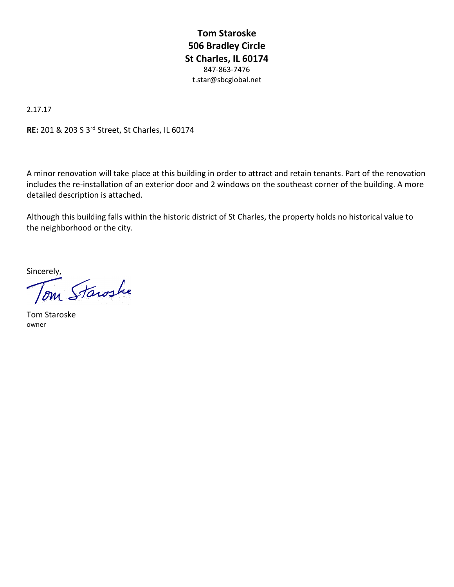**Tom Staroske 506 Bradley Circle St Charles, IL 60174** 847-863-7476 t.star@sbcglobal.net

2.17.17

**RE:** 201 & 203 S 3rd Street, St Charles, IL 60174

A minor renovation will take place at this building in order to attract and retain tenants. Part of the renovation includes the re-installation of an exterior door and 2 windows on the southeast corner of the building. A more detailed description is attached.

Although this building falls within the historic district of St Charles, the property holds no historical value to the neighborhood or the city.

sincerely,<br>Tom Starashe

Tom Staroske owner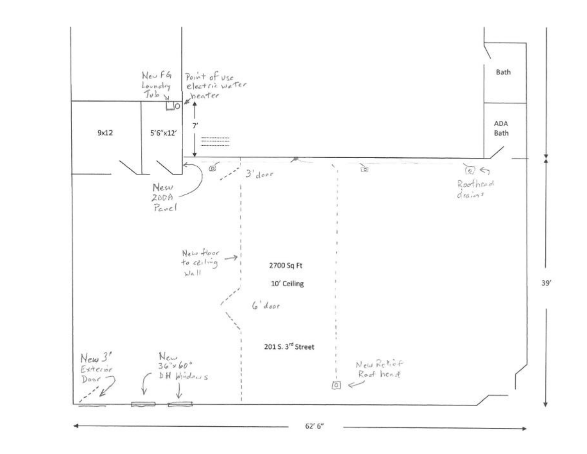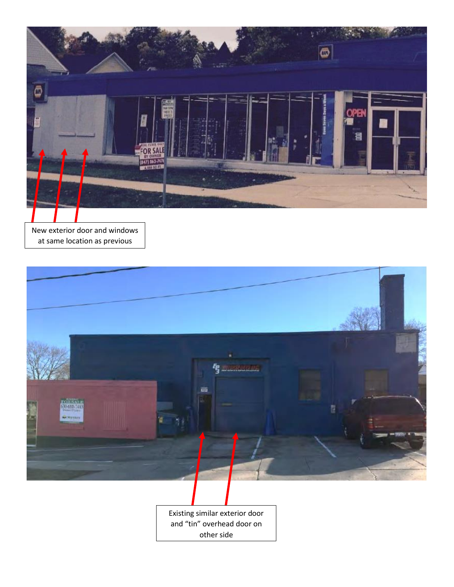

New exterior door and windows at same location as previous



Existing similar exterior door and "tin" overhead door on other side